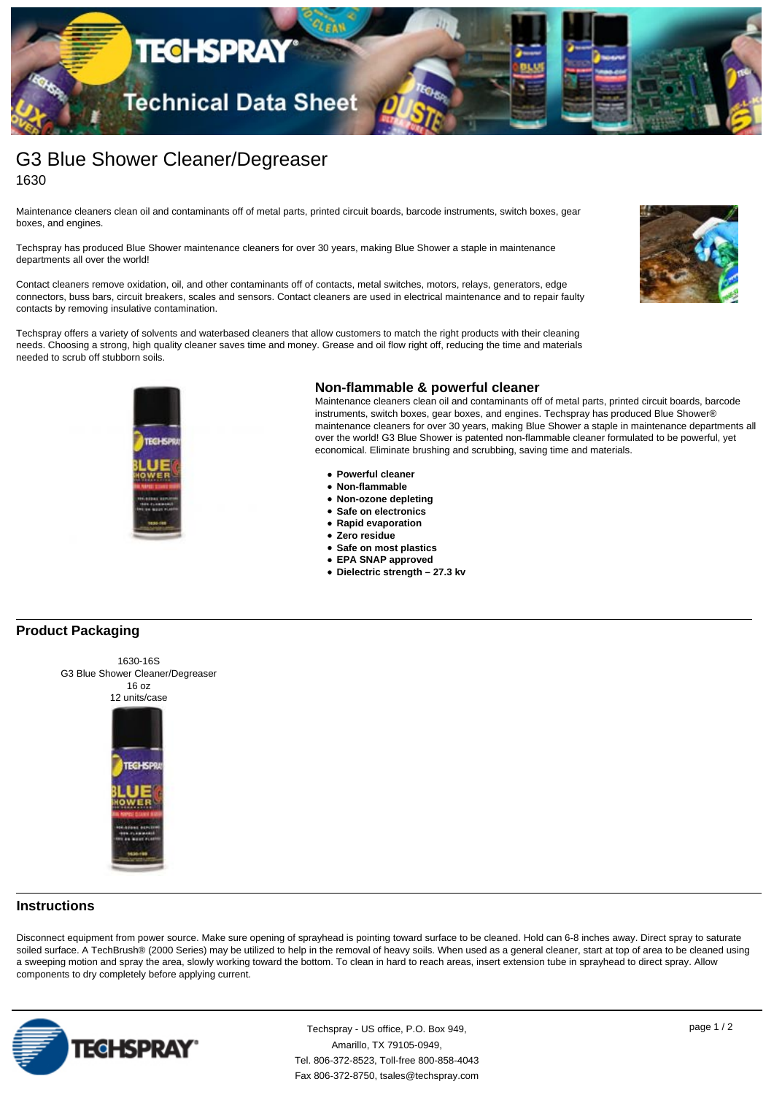

# G3 Blue Shower Cleaner/Degreaser 1630

Maintenance cleaners clean oil and contaminants off of metal parts, printed circuit boards, barcode instruments, switch boxes, gear boxes, and engines.

Techspray has produced Blue Shower maintenance cleaners for over 30 years, making Blue Shower a staple in maintenance departments all over the world!

Contact cleaners remove oxidation, oil, and other contaminants off of contacts, metal switches, motors, relays, generators, edge connectors, buss bars, circuit breakers, scales and sensors. Contact cleaners are used in electrical maintenance and to repair faulty contacts by removing insulative contamination.

Techspray offers a variety of solvents and waterbased cleaners that allow customers to match the right products with their cleaning needs. Choosing a strong, high quality cleaner saves time and money. Grease and oil flow right off, reducing the time and materials needed to scrub off stubborn soils.





#### **Non-flammable & powerful cleaner**

Maintenance cleaners clean oil and contaminants off of metal parts, printed circuit boards, barcode instruments, switch boxes, gear boxes, and engines. Techspray has produced Blue Shower® maintenance cleaners for over 30 years, making Blue Shower a staple in maintenance departments all over the world! G3 Blue Shower is patented non-flammable cleaner formulated to be powerful, yet economical. Eliminate brushing and scrubbing, saving time and materials.

- **Powerful cleaner**
- **Non-flammable**
- **Non-ozone depleting**
- **Safe on electronics**
- **Rapid evaporation**
- **Zero residue**
- **Safe on most plastics**
- **EPA SNAP approved**
- **Dielectric strength 27.3 kv**

# **Product Packaging**



1630-16S G3 Blue Shower Cleaner/Degreaser



Disconnect equipment from power source. Make sure opening of sprayhead is pointing toward surface to be cleaned. Hold can 6-8 inches away. Direct spray to saturate soiled surface. A TechBrush® (2000 Series) may be utilized to help in the removal of heavy soils. When used as a general cleaner, start at top of area to be cleaned using a sweeping motion and spray the area, slowly working toward the bottom. To clean in hard to reach areas, insert extension tube in sprayhead to direct spray. Allow components to dry completely before applying current.



Techspray - US office, P.O. Box 949, page 1 / 2 Amarillo, TX 79105-0949, Tel. 806-372-8523, Toll-free 800-858-4043 Fax 806-372-8750, tsales@techspray.com